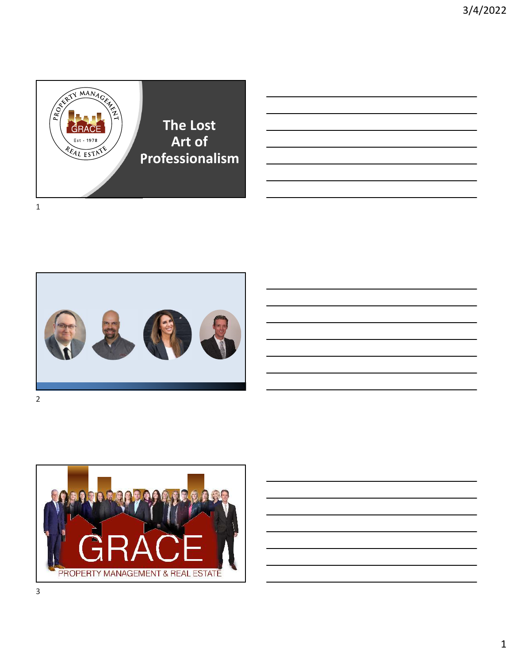



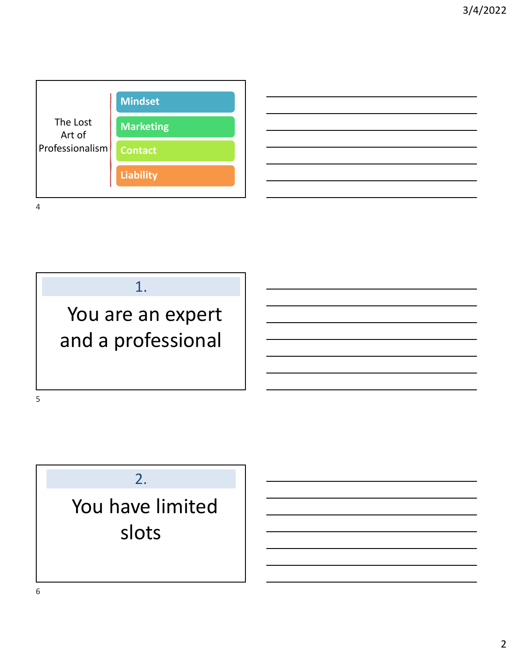





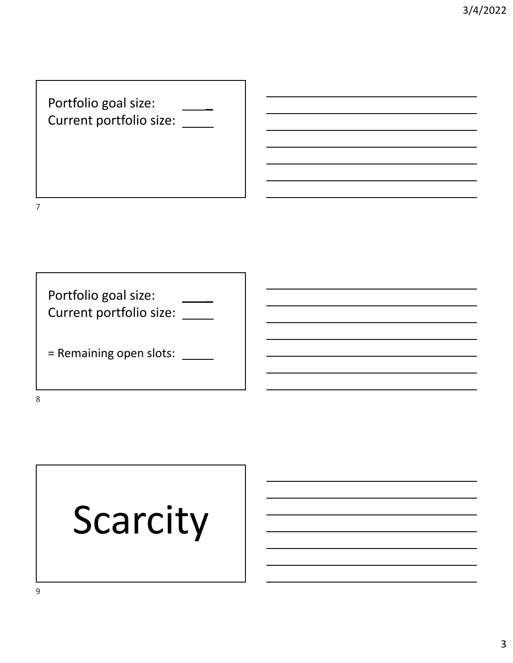

# Scarcity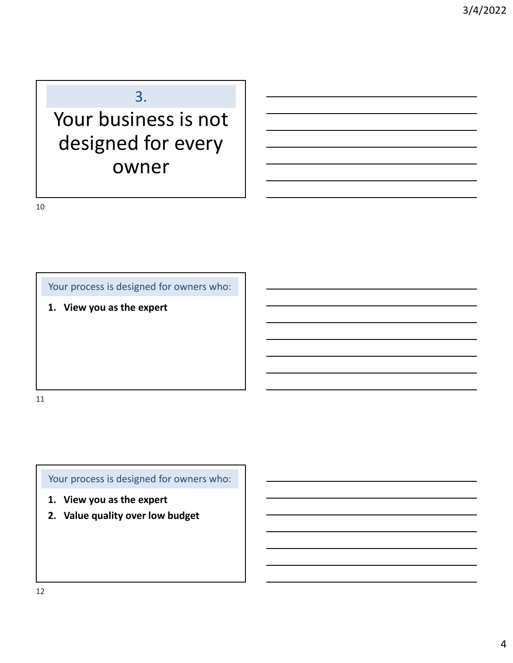#### 3.

## Your business is not designed for every owner

10

Your process is designed for owners who:

**1. View you as the expert**

11

Your process is designed for owners who:

- **1. View you as the expert**
- **2. Value quality over low budget**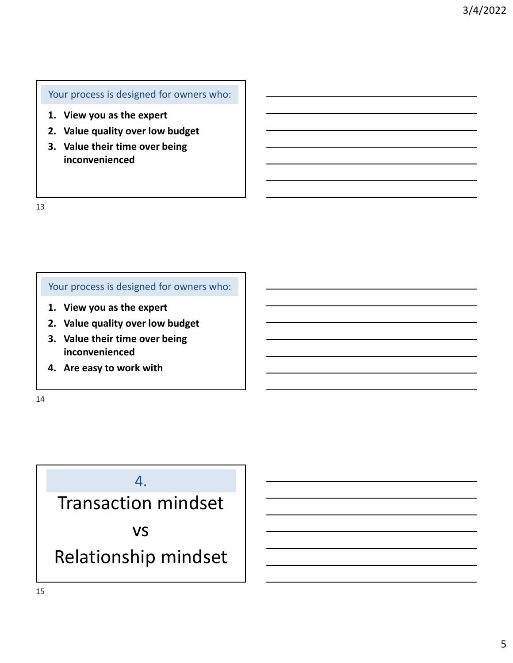#### Your process is designed for owners who:

- **1. View you as the expert**
- **2. Value quality over low budget**
- **3. Value their time over being inconvenienced**

13

#### Your process is designed for owners who:

- **1. View you as the expert**
- **2. Value quality over low budget**
- **3. Value their time over being inconvenienced**
- **4. Are easy to work with**

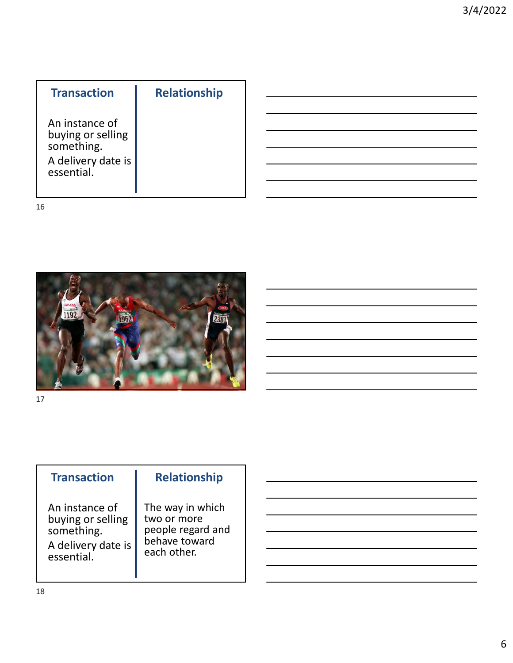| <b>Transaction</b>                                                                    | <b>Relationship</b> |
|---------------------------------------------------------------------------------------|---------------------|
| An instance of<br>buying or selling<br>something.<br>A delivery date is<br>essential. |                     |



17

#### **Transaction**

**Relationship**

An instance of buying or selling something. A delivery date is essential.

#### The way in which two or more people regard and behave toward each other.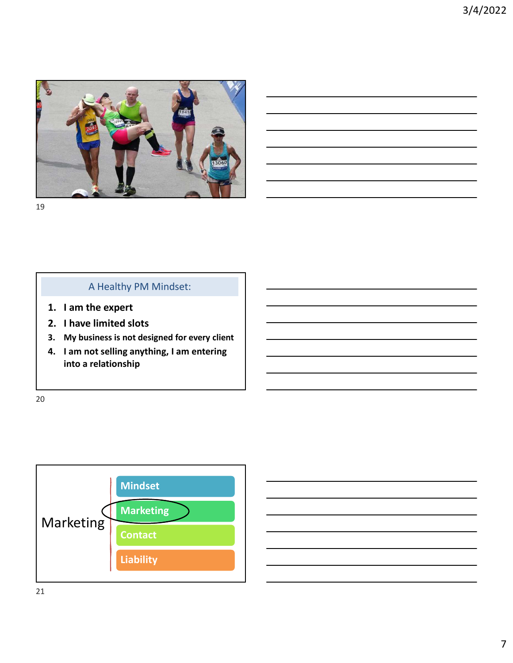

#### A Healthy PM Mindset:

- **1. I am the expert**
- **2. I have limited slots**
- **3. My business is not designed for every client**
- **4. I am not selling anything, I am entering into a relationship**

20

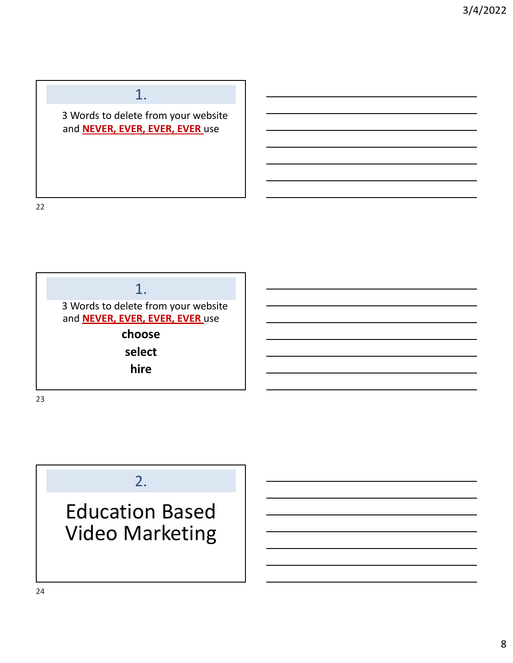### 1.

3 Words to delete from your website and **NEVER, EVER, EVER, EVER** use

22



### 2.

Education Based Video Marketing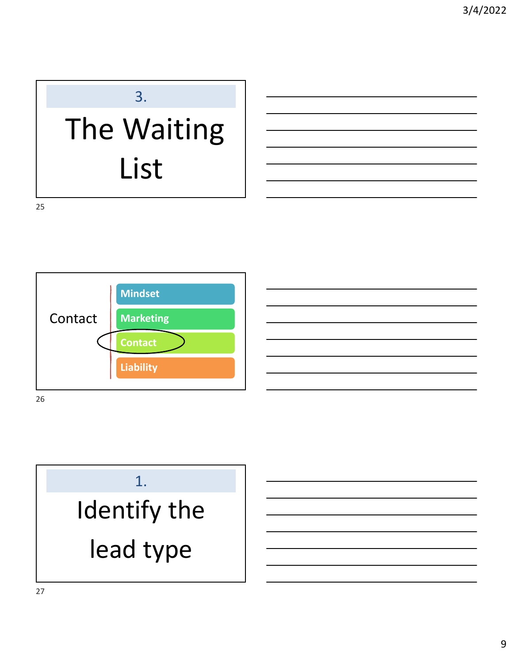## 3. The Waiting List



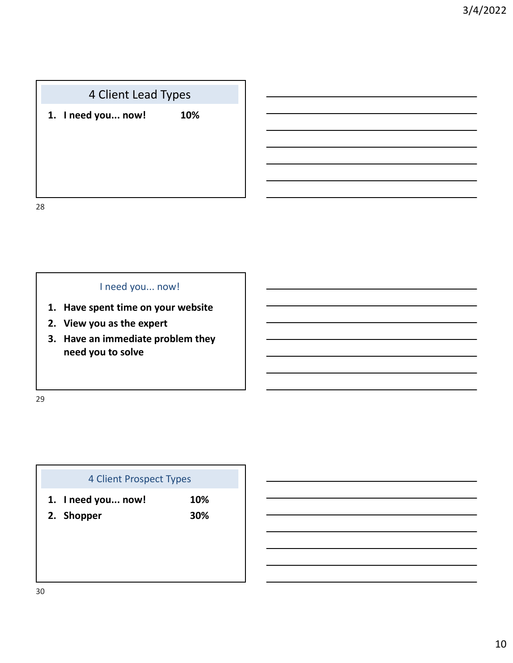#### 4 Client Lead Types

**1. I need you... now! 10%**

28

#### I need you... now!

- **1. Have spent time on your website**
- **2. View you as the expert**
- **3. Have an immediate problem they need you to solve**

29

## 4 Client Prospect Types **1. I need you... now! 10% 2. Shopper 30%**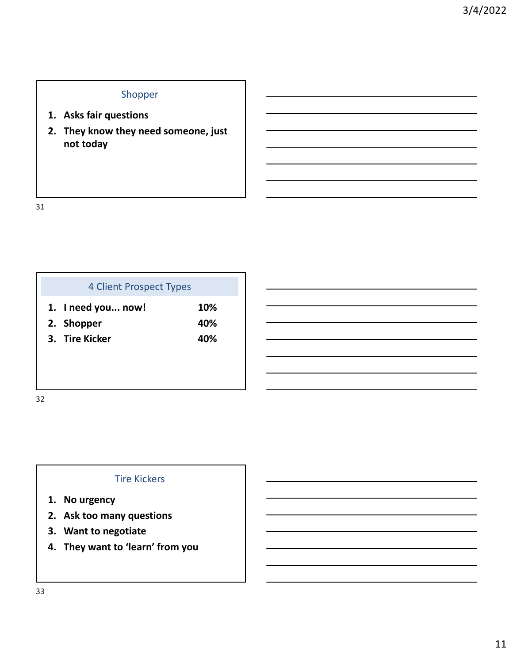#### Shopper

- **1. Asks fair questions**
- **2. They know they need someone, just not today**

31

| 4 Client Prospect Types |            |
|-------------------------|------------|
| 1. I need you now!      | <b>10%</b> |
| 2. Shopper              | 40%        |
| 3. Tire Kicker          | 40%        |
|                         |            |

32

#### Tire Kickers

- **1. No urgency**
- **2. Ask too many questions**
- **3. Want to negotiate**
- **4. They want to 'learn' from you**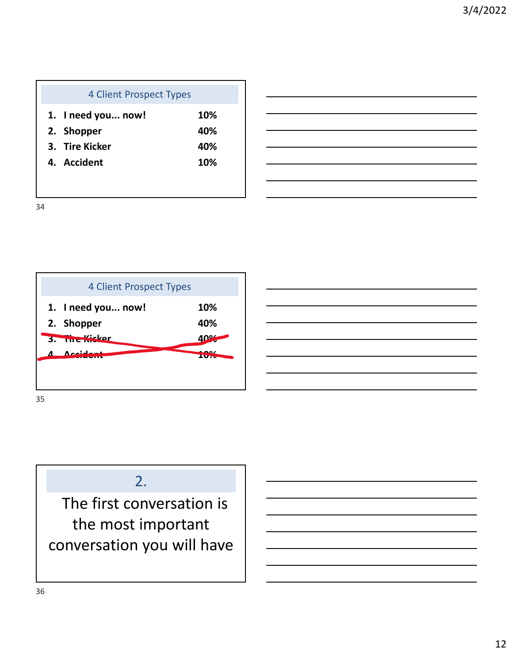| <b>4 Client Prospect Types</b> |     |
|--------------------------------|-----|
| 1. I need you now!             | 10% |
| 2. Shopper                     | 40% |
| 3. Tire Kicker                 | 40% |
| 4. Accident                    | 10% |
|                                |     |



### 2.

The first conversation is the most important conversation you will have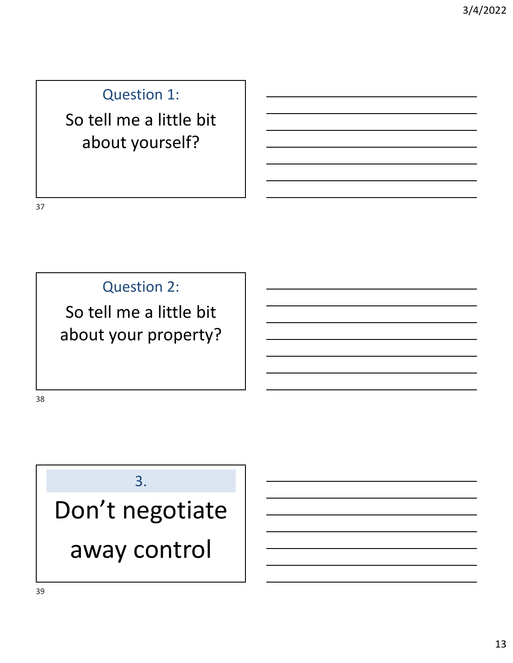### Question 1:

## So tell me a little bit about yourself?

37

Question 2:

So tell me a little bit about your property?

38

## 3.

Don't negotiate away control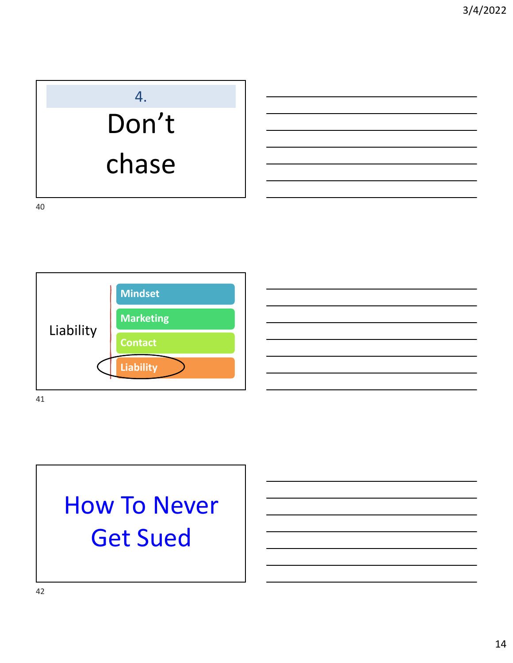# 4. Don't chase

40



## How To Never Get Sued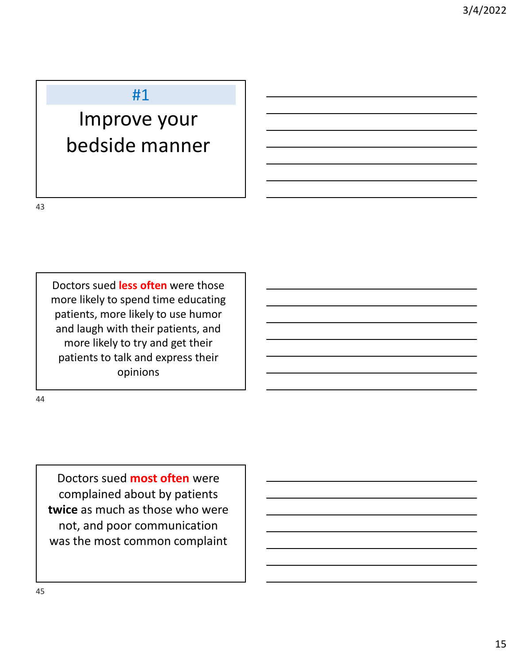#### #1

## Improve your bedside manner

43

44

Doctors sued **less often** were those more likely to spend time educating patients, more likely to use humor and laugh with their patients, and more likely to try and get their patients to talk and express their opinions

Doctors sued **most often** were complained about by patients **twice** as much as those who were not, and poor communication was the most common complaint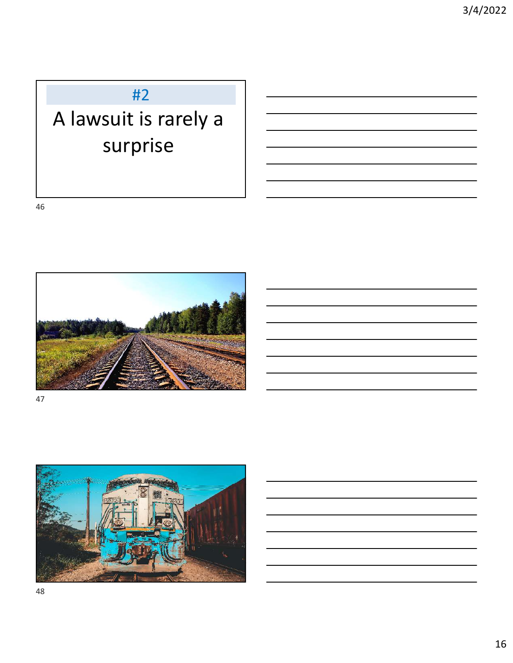### #2

## A lawsuit is rarely a surprise

46



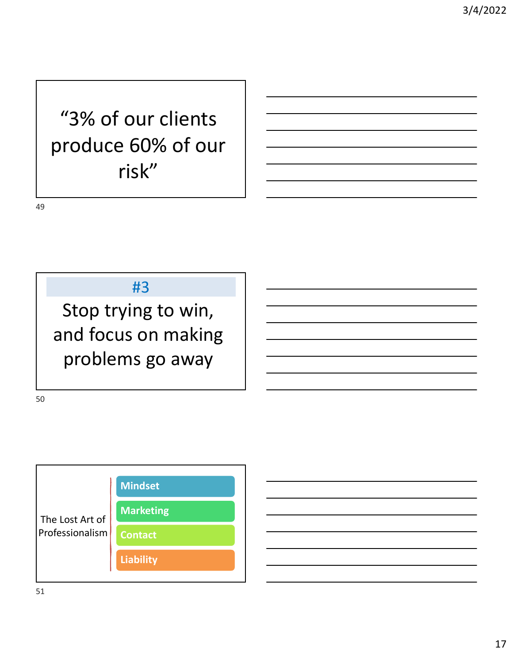## "3% of our clients produce 60% of our risk"

49

#3

Stop trying to win, and focus on making problems go away

50